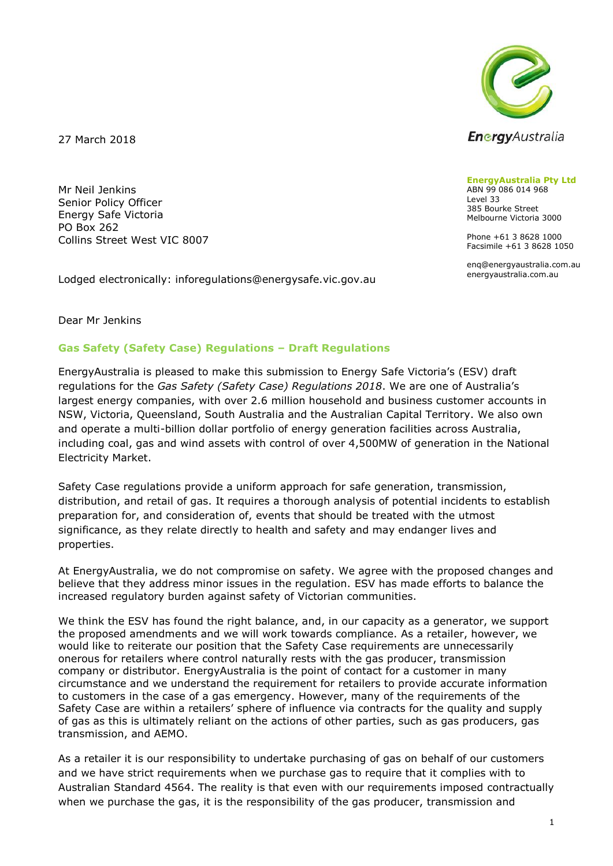

27 March 2018

Mr Neil Jenkins Senior Policy Officer Energy Safe Victoria PO Box 262 Collins Street West VIC 8007

Lodged electronically: inforegulations@energysafe.vic.gov.au

**EnergyAustralia Pty Ltd** ABN 99 086 014 968 Level 33 385 Bourke Street Melbourne Victoria 3000

Phone +61 3 8628 1000 Facsimile +61 3 8628 1050

enq@energyaustralia.com.au energyaustralia.com.au

Dear Mr Jenkins

## **Gas Safety (Safety Case) Regulations – Draft Regulations**

EnergyAustralia is pleased to make this submission to Energy Safe Victoria's (ESV) draft regulations for the *Gas Safety (Safety Case) Regulations 2018*. We are one of Australia's largest energy companies, with over 2.6 million household and business customer accounts in NSW, Victoria, Queensland, South Australia and the Australian Capital Territory. We also own and operate a multi-billion dollar portfolio of energy generation facilities across Australia, including coal, gas and wind assets with control of over 4,500MW of generation in the National Electricity Market.

Safety Case regulations provide a uniform approach for safe generation, transmission, distribution, and retail of gas. It requires a thorough analysis of potential incidents to establish preparation for, and consideration of, events that should be treated with the utmost significance, as they relate directly to health and safety and may endanger lives and properties.

At EnergyAustralia, we do not compromise on safety. We agree with the proposed changes and believe that they address minor issues in the regulation. ESV has made efforts to balance the increased regulatory burden against safety of Victorian communities.

We think the ESV has found the right balance, and, in our capacity as a generator, we support the proposed amendments and we will work towards compliance. As a retailer, however, we would like to reiterate our position that the Safety Case requirements are unnecessarily onerous for retailers where control naturally rests with the gas producer, transmission company or distributor. EnergyAustralia is the point of contact for a customer in many circumstance and we understand the requirement for retailers to provide accurate information to customers in the case of a gas emergency. However, many of the requirements of the Safety Case are within a retailers' sphere of influence via contracts for the quality and supply of gas as this is ultimately reliant on the actions of other parties, such as gas producers, gas transmission, and AEMO.

As a retailer it is our responsibility to undertake purchasing of gas on behalf of our customers and we have strict requirements when we purchase gas to require that it complies with to Australian Standard 4564. The reality is that even with our requirements imposed contractually when we purchase the gas, it is the responsibility of the gas producer, transmission and